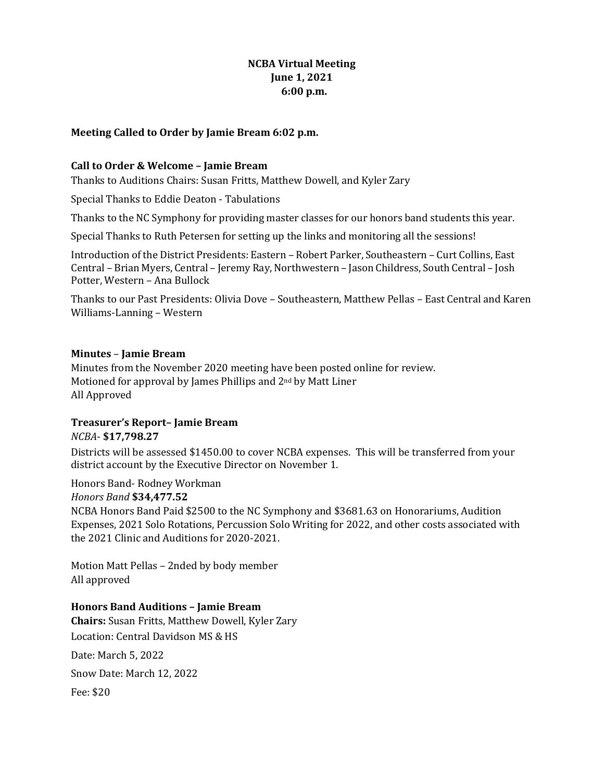# **NCBA Virtual Meeting June 1, 2021 6:00 p.m.**

#### **Meeting Called to Order by Jamie Bream 6:02 p.m.**

#### **Call to Order & Welcome - Jamie Bream**

Thanks to Auditions Chairs: Susan Fritts, Matthew Dowell, and Kyler Zary

Special Thanks to Eddie Deaton - Tabulations

Thanks to the NC Symphony for providing master classes for our honors band students this year.

Special Thanks to Ruth Petersen for setting up the links and monitoring all the sessions!

Introduction of the District Presidents: Eastern - Robert Parker, Southeastern - Curt Collins, East Central – Brian Myers, Central – Jeremy Ray, Northwestern – Jason Childress, South Central – Josh Potter, Western - Ana Bullock

Thanks to our Past Presidents: Olivia Dove - Southeastern, Matthew Pellas - East Central and Karen Williams-Lanning – Western

#### **Minutes** – **Jamie Bream**

Minutes from the November 2020 meeting have been posted online for review. Motioned for approval by James Phillips and  $2<sup>nd</sup>$  by Matt Liner All Approved

# **Treasurer's Report– Jamie Bream**  *NCBA*- **\$17,798.27**

Districts will be assessed \$1450.00 to cover NCBA expenses. This will be transferred from your district account by the Executive Director on November 1.

Honors Band- Rodney Workman *Honors Band* **\$34,477.52** 

NCBA Honors Band Paid \$2500 to the NC Symphony and \$3681.63 on Honorariums, Audition Expenses, 2021 Solo Rotations, Percussion Solo Writing for 2022, and other costs associated with the 2021 Clinic and Auditions for 2020-2021.

Motion Matt Pellas - 2nded by body member All approved

# **Honors Band Auditions – Jamie Bream**

**Chairs:** Susan Fritts, Matthew Dowell, Kyler Zary Location: Central Davidson MS & HS Date: March 5, 2022 Snow Date: March 12, 2022 Fee: \$20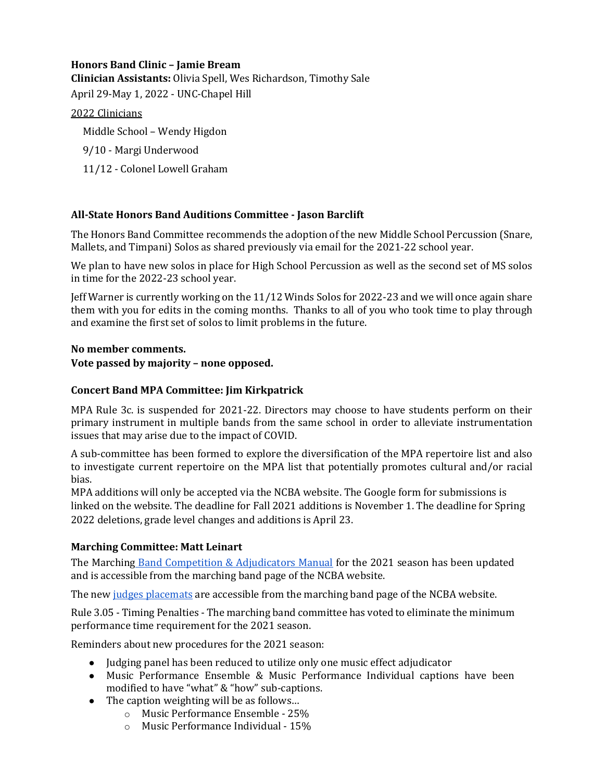# **Honors Band Clinic – Jamie Bream**

**Clinician Assistants:** Olivia Spell, Wes Richardson, Timothy Sale April 29-May 1, 2022 - UNC-Chapel Hill

#### 2022 Clinicians

Middle School - Wendy Higdon

- 9/10 Margi Underwood
- 11/12 Colonel Lowell Graham

# **All-State Honors Band Auditions Committee - Jason Barclift**

The Honors Band Committee recommends the adoption of the new Middle School Percussion (Snare, Mallets, and Timpani) Solos as shared previously via email for the 2021-22 school year.

We plan to have new solos in place for High School Percussion as well as the second set of MS solos in time for the 2022-23 school year.

Jeff Warner is currently working on the 11/12 Winds Solos for 2022-23 and we will once again share them with you for edits in the coming months. Thanks to all of you who took time to play through and examine the first set of solos to limit problems in the future.

# **No member comments.**

#### Vote passed by majority - none opposed.

#### **Concert Band MPA Committee: Jim Kirkpatrick**

MPA Rule 3c. is suspended for 2021-22. Directors may choose to have students perform on their primary instrument in multiple bands from the same school in order to alleviate instrumentation issues that may arise due to the impact of COVID.

A sub-committee has been formed to explore the diversification of the MPA repertoire list and also to investigate current repertoire on the MPA list that potentially promotes cultural and/or racial bias.

MPA additions will only be accepted via the NCBA website. The Google form for submissions is linked on the website. The deadline for Fall 2021 additions is November 1. The deadline for Spring 2022 deletions, grade level changes and additions is April 23.

# **Marching Committee: Matt Leinart**

The Marching Band Competition & Adjudicators Manual for the 2021 season has been updated and is accessible from the marching band page of the NCBA website.

The new judges placemats are accessible from the marching band page of the NCBA website.

Rule 3.05 - Timing Penalties - The marching band committee has voted to eliminate the minimum performance time requirement for the 2021 season.

Reminders about new procedures for the 2021 season:

- $\bullet$  Judging panel has been reduced to utilize only one music effect adjudicator
- Music Performance Ensemble & Music Performance Individual captions have been modified to have "what" & "how" sub-captions.
- $\bullet$  The caption weighting will be as follows...
	- o Music Performance Ensemble 25%
	- $\circ$  Music Performance Individual 15%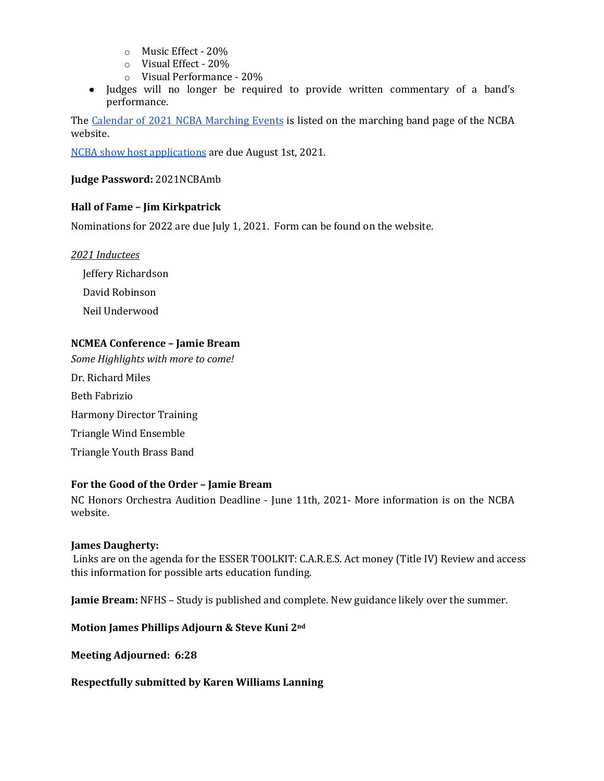- o Music Effect 20%
- $\circ$  Visual Effect 20%
- $\circ$  Visual Performance 20%
- Judges will no longer be required to provide written commentary of a band's performance.

The Calendar of 2021 NCBA Marching Events is listed on the marching band page of the NCBA website.

NCBA show host applications are due August 1st, 2021.

#### **Judge Password:** 2021NCBAmb

# **Hall of Fame - Jim Kirkpatrick**

Nominations for 2022 are due July 1, 2021. Form can be found on the website.

#### *2021 Inductees*

 Jeffery Richardson David Robinson Neil Underwood

#### **NCMEA Conference – Jamie Bream**

Some Highlights with more to come! Dr. Richard Miles Beth Fabrizio Harmony Director Training Triangle Wind Ensemble Triangle Youth Brass Band

# For the Good of the Order - Jamie Bream

NC Honors Orchestra Audition Deadline - June 11th, 2021- More information is on the NCBA website.

#### **James Daugherty:**

Links are on the agenda for the ESSER TOOLKIT: C.A.R.E.S. Act money (Title IV) Review and access this information for possible arts education funding.

**Jamie Bream:** NFHS - Study is published and complete. New guidance likely over the summer.

# **Motion James Phillips Adjourn & Steve Kuni 2nd**

**Meeting Adjourned: 6:28**

#### **Respectfully submitted by Karen Williams Lanning**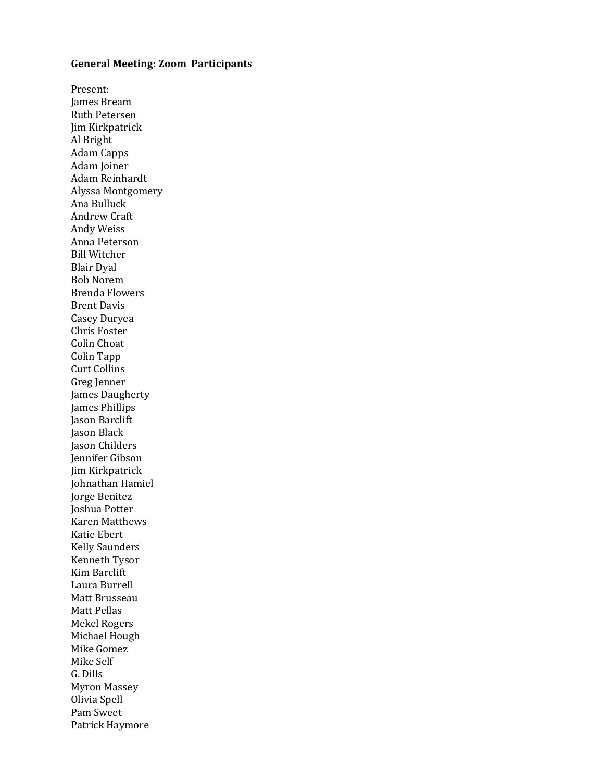#### **General Meeting: Zoom Participants**

Present: James Bream Ruth Petersen Jim Kirkpatrick Al Bright Adam Capps Adam Joiner Adam Reinhardt Alyssa Montgomery Ana Bulluck Andrew Craft Andy Weiss Anna Peterson **Bill Witcher** Blair Dyal Bob Norem Brenda Flowers **Brent Davis** Casey Duryea Chris Foster Colin Choat Colin Tapp **Curt Collins** Greg Jenner James Daugherty James Phillips Jason Barclift **Jason Black** Jason Childers Jennifer Gibson Jim Kirkpatrick Johnathan Hamiel Jorge Benitez Joshua Potter Karen Matthews Katie Ebert Kelly Saunders Kenneth Tysor Kim Barclift Laura Burrell Matt Brusseau Matt Pellas Mekel Rogers Michael Hough Mike Gomez Mike Self G. Dills Myron Massey Olivia Spell Pam Sweet Patrick Haymore